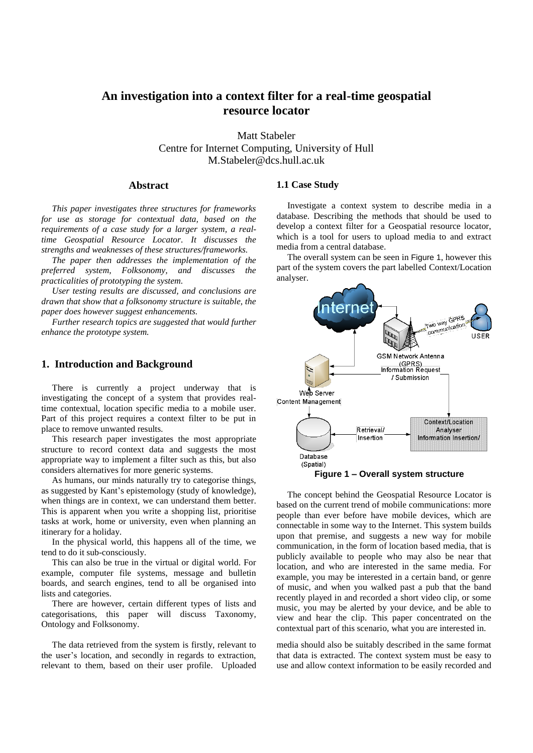# **An investigation into a context filter for a real-time geospatial resource locator**

Matt Stabeler Centre for Internet Computing, University of Hull M.Stabeler@dcs.hull.ac.uk

## **Abstract**

*This paper investigates three structures for frameworks for use as storage for contextual data, based on the requirements of a case study for a larger system, a realtime Geospatial Resource Locator. It discusses the strengths and weaknesses of these structures/frameworks.*

*The paper then addresses the implementation of the preferred system, Folksonomy, and discusses the practicalities of prototyping the system.* 

*User testing results are discussed, and conclusions are drawn that show that a folksonomy structure is suitable, the paper does however suggest enhancements.* 

*Further research topics are suggested that would further enhance the prototype system.*

## **1. Introduction and Background**

There is currently a project underway that is investigating the concept of a system that provides realtime contextual, location specific media to a mobile user. Part of this project requires a context filter to be put in place to remove unwanted results.

This research paper investigates the most appropriate structure to record context data and suggests the most appropriate way to implement a filter such as this, but also considers alternatives for more generic systems.

As humans, our minds naturally try to categorise things, as suggested by Kant's epistemology (study of knowledge), when things are in context, we can understand them better. This is apparent when you write a shopping list, prioritise tasks at work, home or university, even when planning an itinerary for a holiday.

In the physical world, this happens all of the time, we tend to do it sub-consciously.

This can also be true in the virtual or digital world. For example, computer file systems, message and bulletin boards, and search engines, tend to all be organised into lists and categories.

There are however, certain different types of lists and categorisations, this paper will discuss Taxonomy, Ontology and Folksonomy.

The data retrieved from the system is firstly, relevant to the user"s location, and secondly in regards to extraction, relevant to them, based on their user profile. Uploaded

#### **1.1 Case Study**

Investigate a context system to describe media in a database. Describing the methods that should be used to develop a context filter for a Geospatial resource locator, which is a tool for users to upload media to and extract media from a central database.

The overall system can be seen in Figure 1, however this part of the system covers the part labelled Context/Location analyser.



**Figure 1 – Overall system structure**

The concept behind the Geospatial Resource Locator is based on the current trend of mobile communications: more people than ever before have mobile devices, which are connectable in some way to the Internet. This system builds upon that premise, and suggests a new way for mobile communication, in the form of location based media, that is publicly available to people who may also be near that location, and who are interested in the same media. For example, you may be interested in a certain band, or genre of music, and when you walked past a pub that the band recently played in and recorded a short video clip, or some music, you may be alerted by your device, and be able to view and hear the clip. This paper concentrated on the contextual part of this scenario, what you are interested in.

media should also be suitably described in the same format that data is extracted. The context system must be easy to use and allow context information to be easily recorded and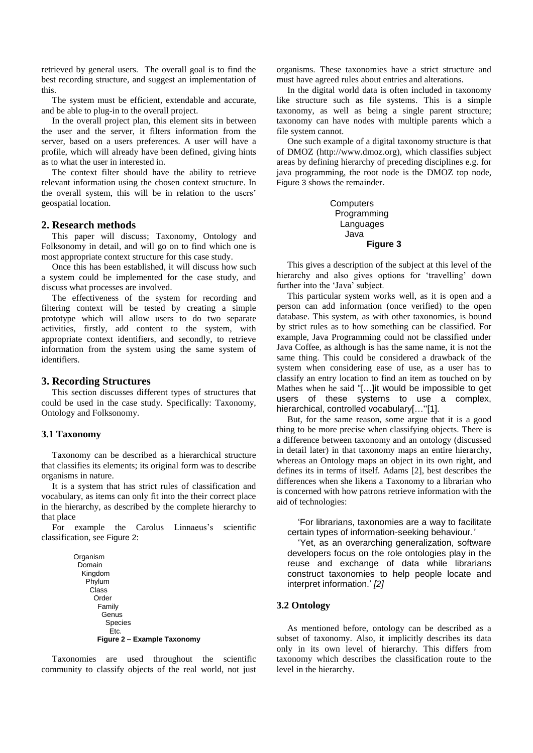retrieved by general users. The overall goal is to find the best recording structure, and suggest an implementation of this.

The system must be efficient, extendable and accurate, and be able to plug-in to the overall project.

In the overall project plan, this element sits in between the user and the server, it filters information from the server, based on a users preferences. A user will have a profile, which will already have been defined, giving hints as to what the user in interested in.

The context filter should have the ability to retrieve relevant information using the chosen context structure. In the overall system, this will be in relation to the users" geospatial location.

#### **2. Research methods**

This paper will discuss; Taxonomy, Ontology and Folksonomy in detail, and will go on to find which one is most appropriate context structure for this case study.

Once this has been established, it will discuss how such a system could be implemented for the case study, and discuss what processes are involved.

The effectiveness of the system for recording and filtering context will be tested by creating a simple prototype which will allow users to do two separate activities, firstly, add content to the system, with appropriate context identifiers, and secondly, to retrieve information from the system using the same system of identifiers.

#### **3. Recording Structures**

This section discusses different types of structures that could be used in the case study. Specifically: Taxonomy, Ontology and Folksonomy.

#### **3.1 Taxonomy**

Taxonomy can be described as a hierarchical structure that classifies its elements; its original form was to describe organisms in nature.

It is a system that has strict rules of classification and vocabulary, as items can only fit into the their correct place in the hierarchy, as described by the complete hierarchy to that place

For example the Carolus Linnaeus's scientific classification, see Figure 2:

```
Organism
Domain
 Kingdom
  Phylum
  Class
   Order
      Family
      Genus
        Species
         Etc.
    Figure 2 – Example Taxonomy
```
Taxonomies are used throughout the scientific community to classify objects of the real world, not just organisms. These taxonomies have a strict structure and must have agreed rules about entries and alterations.

In the digital world data is often included in taxonomy like structure such as file systems. This is a simple taxonomy, as well as being a single parent structure; taxonomy can have nodes with multiple parents which a file system cannot.

One such example of a digital taxonomy structure is that of DMOZ (http://www.dmoz.org), which classifies subject areas by defining hierarchy of preceding disciplines e.g. for java programming, the root node is the DMOZ top node, Figure 3 shows the remainder.

> **Computers**  Programming Languages Java **Figure 3**

This gives a description of the subject at this level of the hierarchy and also gives options for 'travelling' down further into the 'Java' subject.

This particular system works well, as it is open and a person can add information (once verified) to the open database. This system, as with other taxonomies, is bound by strict rules as to how something can be classified. For example, Java Programming could not be classified under Java Coffee, as although is has the same name, it is not the same thing. This could be considered a drawback of the system when considering ease of use, as a user has to classify an entry location to find an item as touched on by Mathes when he said "[…]it would be impossible to get users of these systems to use a complex, hierarchical, controlled vocabulary[..."[1].

But, for the same reason, some argue that it is a good thing to be more precise when classifying objects. There is a difference between taxonomy and an ontology (discussed in detail later) in that taxonomy maps an entire hierarchy, whereas an Ontology maps an object in its own right, and defines its in terms of itself. Adams [2], best describes the differences when she likens a Taxonomy to a librarian who is concerned with how patrons retrieve information with the aid of technologies:

'For librarians, taxonomies are a way to facilitate certain types of information-seeking behaviour*.'*

'Yet, as an overarching generalization, software developers focus on the role ontologies play in the reuse and exchange of data while librarians construct taxonomies to help people locate and interpret information.' *[2]*

## **3.2 Ontology**

As mentioned before, ontology can be described as a subset of taxonomy. Also, it implicitly describes its data only in its own level of hierarchy. This differs from taxonomy which describes the classification route to the level in the hierarchy.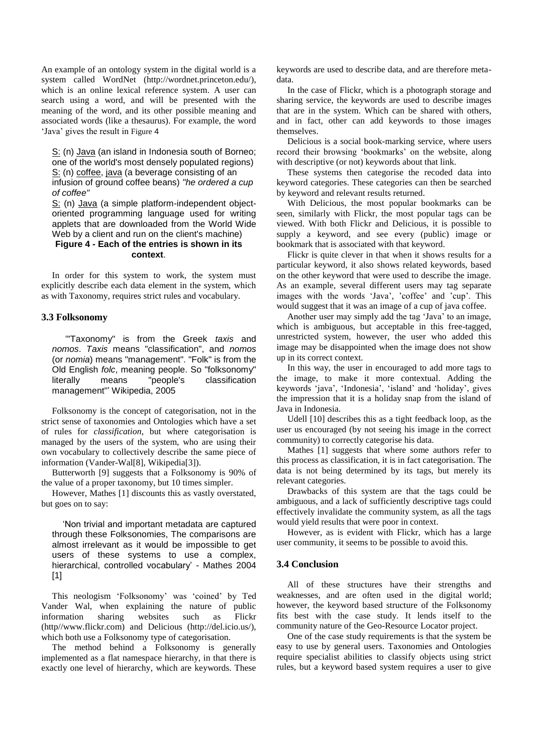An example of an ontology system in the digital world is a system called WordNet (http://wordnet.princeton.edu/), which is an online lexical reference system. A user can search using a word, and will be presented with the meaning of the word, and its other possible meaning and associated words (like a thesaurus). For example, the word 'Java' gives the result in Figure 4

[S:](http://wordnet.princeton.edu/perl/webwn?o2=&o0=1&o6=&o1=1&o5=&o4=&o3=&s=java&i=0&h=000#c) (n) [Java](http://wordnet.princeton.edu/perl/webwn?o2=&o0=1&o6=&o1=1&o5=&o4=&o3=&s=Java) (an island in Indonesia south of Borneo; one of the world's most densely populated regions) [S:](http://wordnet.princeton.edu/perl/webwn?o2=&o0=1&o6=&o1=1&o5=&o4=&o3=&s=java&i=1&h=000#c) (n) [coffee,](http://wordnet.princeton.edu/perl/webwn?o2=&o0=1&o6=&o1=1&o5=&o4=&o3=&s=coffee) [java](http://wordnet.princeton.edu/perl/webwn?o2=&o0=1&o6=&o1=1&o5=&o4=&o3=&s=java) (a beverage consisting of an infusion of ground coffee beans) *"he ordered a cup of coffee"*

[S:](http://wordnet.princeton.edu/perl/webwn?o2=&o0=1&o6=&o1=1&o5=&o4=&o3=&s=java&i=2&h=000#c) (n) [Java](http://wordnet.princeton.edu/perl/webwn?o2=&o0=1&o6=&o1=1&o5=&o4=&o3=&s=Java) (a simple platform-independent obiectoriented programming language used for writing applets that are downloaded from the World Wide Web by a client and run on the client's machine) **Figure 4 - Each of the entries is shown in its** 

#### **context**.

In order for this system to work, the system must explicitly describe each data element in the system, which as with Taxonomy, requires strict rules and vocabulary.

#### **3.3 Folksonomy**

'"Taxonomy" is from the Greek *taxis* and *nomos*. *Taxis* means "classification", and *nomos* (or *nomia*) means "management". "Folk" is from the Old English *folc*, meaning people. So "folksonomy" literally means "people's classification management"' Wikipedia, 2005

Folksonomy is the concept of categorisation, not in the strict sense of taxonomies and Ontologies which have a set of rules for *classification*, but where categorisation is managed by the users of the system, who are using their own vocabulary to collectively describe the same piece of information (Vander-Wal[8], Wikipedia[3]).

Butterworth [9] suggests that a Folksonomy is 90% of the value of a proper taxonomy, but 10 times simpler.

However, Mathes [1] discounts this as vastly overstated, but goes on to say:

'Non trivial and important metadata are captured through these Folksonomies, The comparisons are almost irrelevant as it would be impossible to get users of these systems to use a complex, hierarchical, controlled vocabulary' - Mathes 2004 [1]

This neologism "Folksonomy" was "coined" by Ted Vander Wal, when explaining the nature of public information sharing websites such as Flickr (http//www.flickr.com) and Delicious (http://del.icio.us/), which both use a Folksonomy type of categorisation.

The method behind a Folksonomy is generally implemented as a flat namespace hierarchy, in that there is exactly one level of hierarchy, which are keywords. These

keywords are used to describe data, and are therefore metadata.

In the case of Flickr, which is a photograph storage and sharing service, the keywords are used to describe images that are in the system. Which can be shared with others, and in fact, other can add keywords to those images themselves.

Delicious is a social book-marking service, where users record their browsing "bookmarks" on the website, along with descriptive (or not) keywords about that link.

These systems then categorise the recoded data into keyword categories. These categories can then be searched by keyword and relevant results returned.

With Delicious, the most popular bookmarks can be seen, similarly with Flickr, the most popular tags can be viewed. With both Flickr and Delicious, it is possible to supply a keyword, and see every (public) image or bookmark that is associated with that keyword.

Flickr is quite clever in that when it shows results for a particular keyword, it also shows related keywords, based on the other keyword that were used to describe the image. As an example, several different users may tag separate images with the words 'Java', 'coffee' and 'cup'. This would suggest that it was an image of a cup of java coffee.

Another user may simply add the tag "Java" to an image, which is ambiguous, but acceptable in this free-tagged, unrestricted system, however, the user who added this image may be disappointed when the image does not show up in its correct context.

In this way, the user in encouraged to add more tags to the image, to make it more contextual. Adding the keywords "java", "Indonesia", "island" and "holiday", gives the impression that it is a holiday snap from the island of Java in Indonesia.

Udell [10] describes this as a tight feedback loop, as the user us encouraged (by not seeing his image in the correct community) to correctly categorise his data.

Mathes [1] suggests that where some authors refer to this process as classification, it is in fact categorisation. The data is not being determined by its tags, but merely its relevant categories.

Drawbacks of this system are that the tags could be ambiguous, and a lack of sufficiently descriptive tags could effectively invalidate the community system, as all the tags would yield results that were poor in context.

However, as is evident with Flickr, which has a large user community, it seems to be possible to avoid this.

## **3.4 Conclusion**

All of these structures have their strengths and weaknesses, and are often used in the digital world; however, the keyword based structure of the Folksonomy fits best with the case study. It lends itself to the community nature of the Geo-Resource Locator project.

One of the case study requirements is that the system be easy to use by general users. Taxonomies and Ontologies require specialist abilities to classify objects using strict rules, but a keyword based system requires a user to give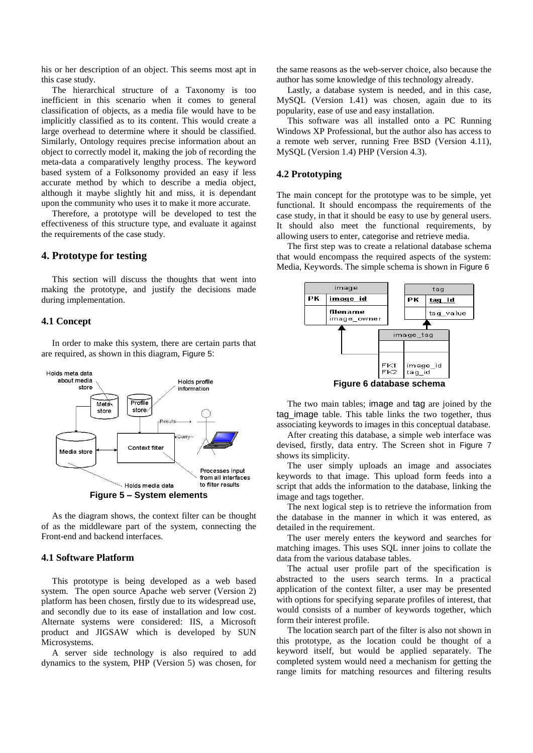his or her description of an object. This seems most apt in this case study.

The hierarchical structure of a Taxonomy is too inefficient in this scenario when it comes to general classification of objects, as a media file would have to be implicitly classified as to its content. This would create a large overhead to determine where it should be classified. Similarly, Ontology requires precise information about an object to correctly model it, making the job of recording the meta-data a comparatively lengthy process. The keyword based system of a Folksonomy provided an easy if less accurate method by which to describe a media object, although it maybe slightly hit and miss, it is dependant upon the community who uses it to make it more accurate.

Therefore, a prototype will be developed to test the effectiveness of this structure type, and evaluate it against the requirements of the case study.

## **4. Prototype for testing**

This section will discuss the thoughts that went into making the prototype, and justify the decisions made during implementation.

## **4.1 Concept**

In order to make this system, there are certain parts that are required, as shown in this diagram, Figure 5:



As the diagram shows, the context filter can be thought of as the middleware part of the system, connecting the Front-end and backend interfaces.

## **4.1 Software Platform**

This prototype is being developed as a web based system. The open source Apache web server (Version 2) platform has been chosen, firstly due to its widespread use, and secondly due to its ease of installation and low cost. Alternate systems were considered: IIS, a Microsoft product and JIGSAW which is developed by SUN Microsystems.

A server side technology is also required to add dynamics to the system, PHP (Version 5) was chosen, for the same reasons as the web-server choice, also because the author has some knowledge of this technology already.

Lastly, a database system is needed, and in this case, MySQL (Version 1.41) was chosen, again due to its popularity, ease of use and easy installation.

This software was all installed onto a PC Running Windows XP Professional, but the author also has access to a remote web server, running Free BSD (Version 4.11), MySQL (Version 1.4) PHP (Version 4.3).

#### **4.2 Prototyping**

The main concept for the prototype was to be simple, yet functional. It should encompass the requirements of the case study, in that it should be easy to use by general users. It should also meet the functional requirements, by allowing users to enter, categorise and retrieve media.

The first step was to create a relational database schema that would encompass the required aspects of the system: Media, Keywords. The simple schema is shown in Figure 6



The two main tables; image and tag are joined by the tag\_image table. This table links the two together, thus associating keywords to images in this conceptual database.

After creating this database, a simple web interface was devised, firstly, data entry. The Screen shot in Figure 7 shows its simplicity.

The user simply uploads an image and associates keywords to that image. This upload form feeds into a script that adds the information to the database, linking the image and tags together.

The next logical step is to retrieve the information from the database in the manner in which it was entered, as detailed in the requirement.

The user merely enters the keyword and searches for matching images. This uses SQL inner joins to collate the data from the various database tables.

The actual user profile part of the specification is abstracted to the users search terms. In a practical application of the context filter, a user may be presented with options for specifying separate profiles of interest, that would consists of a number of keywords together, which form their interest profile.

The location search part of the filter is also not shown in this prototype, as the location could be thought of a keyword itself, but would be applied separately. The completed system would need a mechanism for getting the range limits for matching resources and filtering results